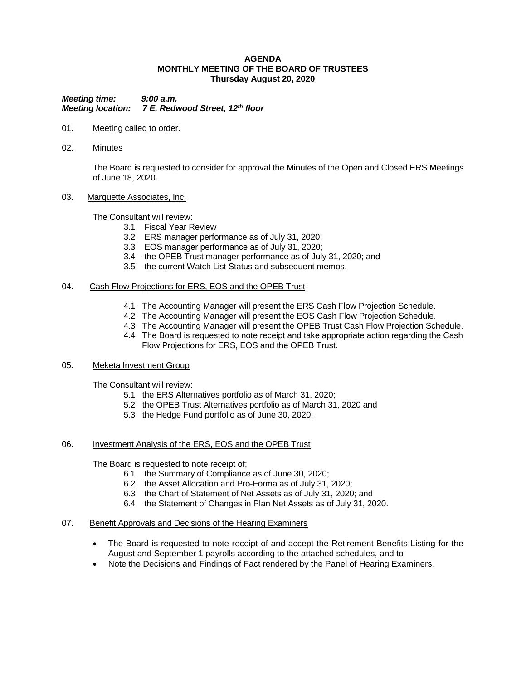### **AGENDA MONTHLY MEETING OF THE BOARD OF TRUSTEES Thursday August 20, 2020**

*Meeting time: 9:00 a.m. Meeting location: 7 E. Redwood Street, 12th floor*

- 01. Meeting called to order.
- 02. Minutes

The Board is requested to consider for approval the Minutes of the Open and Closed ERS Meetings of June 18, 2020.

03. Marquette Associates, Inc.

The Consultant will review:

- 3.1 Fiscal Year Review
	- 3.2 ERS manager performance as of July 31, 2020;
	- 3.3 EOS manager performance as of July 31, 2020;
	- 3.4 the OPEB Trust manager performance as of July 31, 2020; and
	- 3.5 the current Watch List Status and subsequent memos.

## 04. Cash Flow Projections for ERS, EOS and the OPEB Trust

- 4.1 The Accounting Manager will present the ERS Cash Flow Projection Schedule.
- 4.2 The Accounting Manager will present the EOS Cash Flow Projection Schedule.
- 4.3 The Accounting Manager will present the OPEB Trust Cash Flow Projection Schedule.
- 4.4 The Board is requested to note receipt and take appropriate action regarding the Cash Flow Projections for ERS, EOS and the OPEB Trust.

## 05. Meketa Investment Group

The Consultant will review:

- 5.1 the ERS Alternatives portfolio as of March 31, 2020;
- 5.2 the OPEB Trust Alternatives portfolio as of March 31, 2020 and
- 5.3 the Hedge Fund portfolio as of June 30, 2020.

## 06. Investment Analysis of the ERS, EOS and the OPEB Trust

The Board is requested to note receipt of;

- 6.1 the Summary of Compliance as of June 30, 2020;
- 6.2 the Asset Allocation and Pro-Forma as of July 31, 2020;
- 6.3 the Chart of Statement of Net Assets as of July 31, 2020; and
- 6.4 the Statement of Changes in Plan Net Assets as of July 31, 2020.
- 07. Benefit Approvals and Decisions of the Hearing Examiners
	- The Board is requested to note receipt of and accept the Retirement Benefits Listing for the August and September 1 payrolls according to the attached schedules, and to
	- Note the Decisions and Findings of Fact rendered by the Panel of Hearing Examiners.